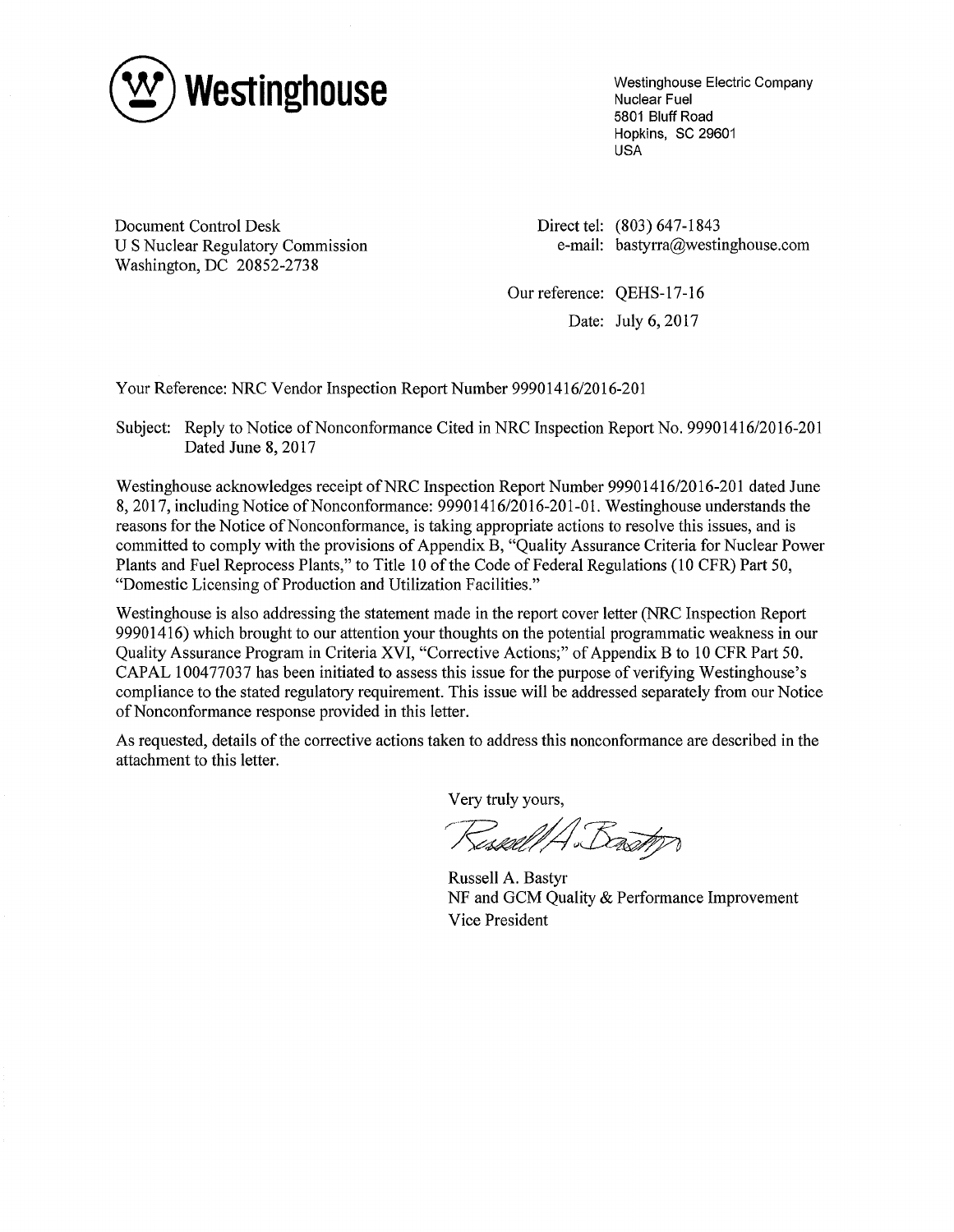

Westinghouse Electric Company Nuclear Fuel 5801 Bluff Road Hopkins, SC 29601 USA

Document Control Desk U S Nuclear Regulatory Commission Washington, DC 20852-2738

Direct tel: (803) 647-1843 e-mail: bastyrra@westinghouse.com

Our reference: QEHS-17-16 Date: July 6, 2017

Your Reference: NRC Vendor Inspection Report Number 99901416/2016-201

Subject: Reply to Notice of Nonconformance Cited in NRC Inspection Report No. 99901416/2016-201 Dated June 8, 2017

Westinghouse acknowledges receipt of NRC Inspection Report Number 99901416/2016-201 dated June 8, 2017, including Notice of Nonconformance: 99901416/2016-201-01. Westinghouse understands the reasons for the Notice of Nonconformance, is taking appropriate actions to resolve this issues, and is committed to comply with the provisions of Appendix B, "Quality Assurance Criteria for Nuclear Power Plants and Fuel Reprocess Plants," to Title 10 of the Code of Federal Regulations (10 CFR) Part 50, "Domestic Licensing of Production and Utilization Facilities."

Westinghouse is also addressing the statement made in the report cover letter (NRC Inspection Report 9990 1416) which brought to our attention your thoughts on the potential programmatic weakness in our Quality Assurance Program in Criteria XVI, "Corrective Actions;" of Appendix B to 10 CFR Part 50. CAPAL 100477037 has been initiated to assess this issue for the purpose of verifying Westinghouse's compliance to the stated regulatory requirement. This issue will be addressed separately from our Notice of Nonconformance response provided in this letter.

As requested, details of the corrective actions taken to address this nonconformance are described in the attachment to this letter.

Very truly yours,

Sessall A Bastr

Russell A. Bastyr NF and GCM Quality & Performance Improvement Vice President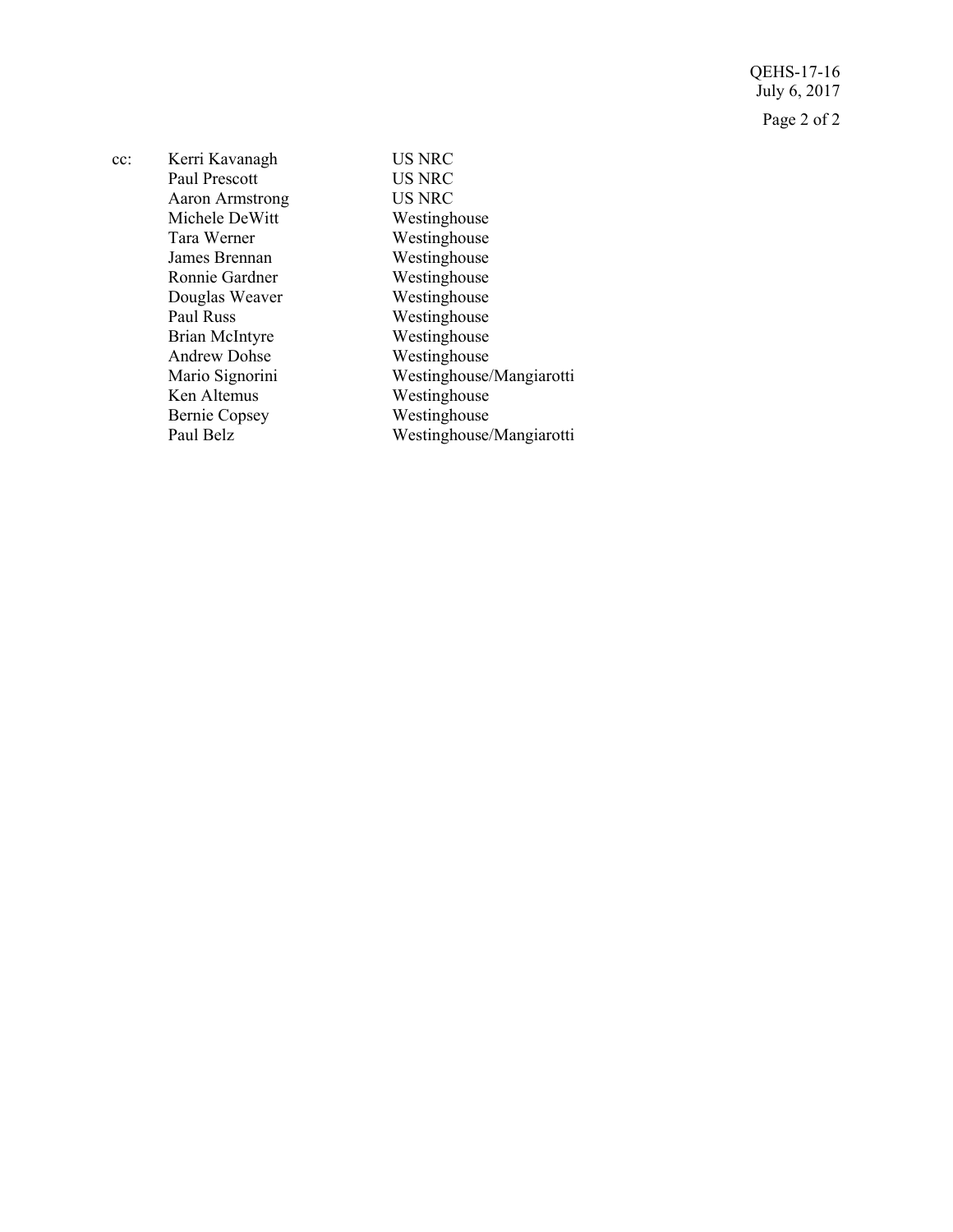QEHS-17-16 July 6, 2017 Page 2 of 2

| $cc$ : | Kerri Kavanagh         | <b>US NRC</b>            |
|--------|------------------------|--------------------------|
|        | Paul Prescott          | <b>US NRC</b>            |
|        | <b>Aaron Armstrong</b> | <b>US NRC</b>            |
|        | Michele DeWitt         | Westinghouse             |
|        | Tara Werner            | Westinghouse             |
|        | James Brennan          | Westinghouse             |
|        | Ronnie Gardner         | Westinghouse             |
|        | Douglas Weaver         | Westinghouse             |
|        | Paul Russ              | Westinghouse             |
|        | Brian McIntyre         | Westinghouse             |
|        | <b>Andrew Dohse</b>    | Westinghouse             |
|        | Mario Signorini        | Westinghouse/Mangiarotti |
|        | Ken Altemus            | Westinghouse             |
|        | <b>Bernie Copsey</b>   | Westinghouse             |
|        | Paul Belz              | Westinghouse/Mangiarotti |
|        |                        |                          |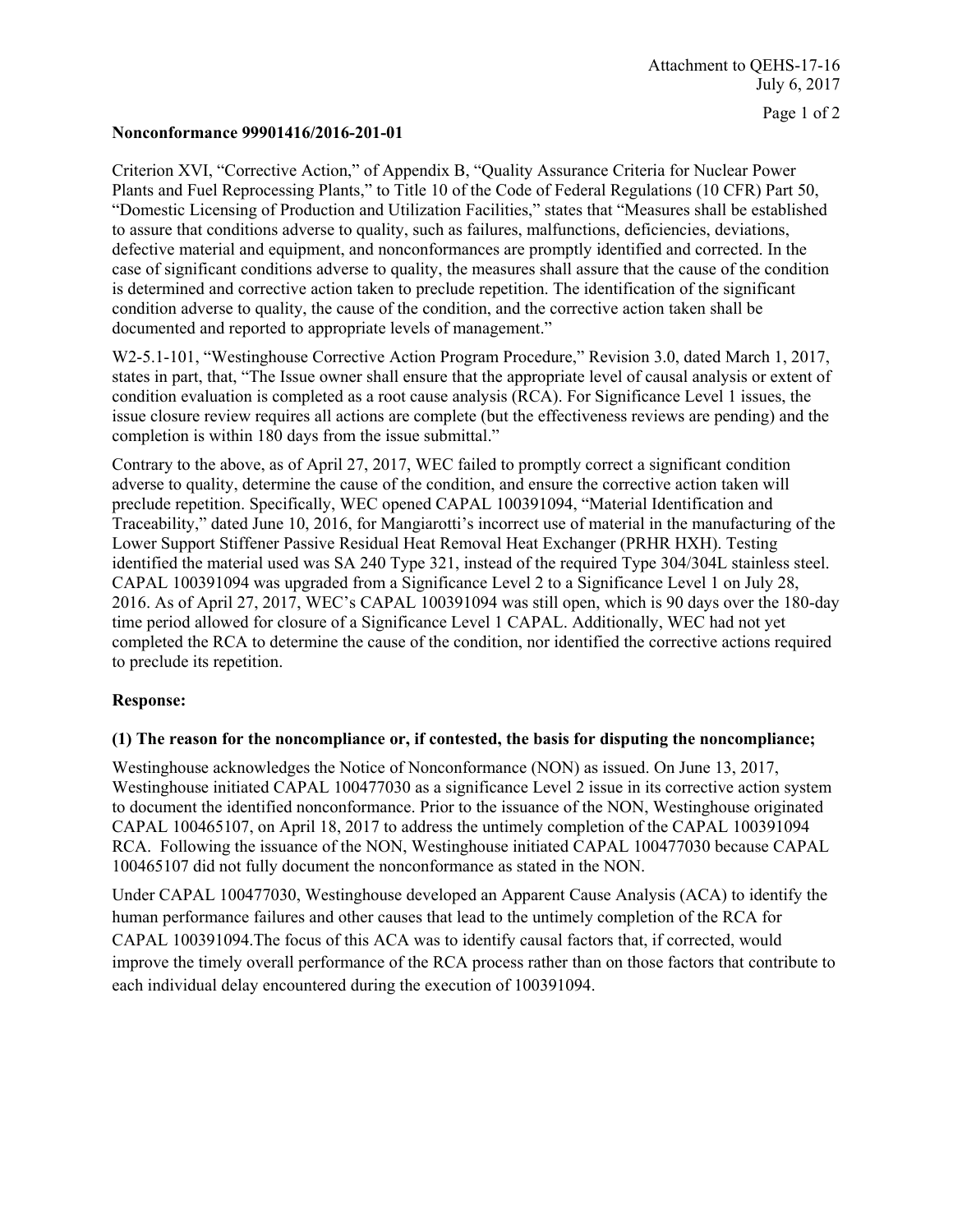#### Page 1 of 2

## **Nonconformance 99901416/2016-201-01**

Criterion XVI, "Corrective Action," of Appendix B, "Quality Assurance Criteria for Nuclear Power Plants and Fuel Reprocessing Plants," to Title 10 of the Code of Federal Regulations (10 CFR) Part 50, "Domestic Licensing of Production and Utilization Facilities," states that "Measures shall be established to assure that conditions adverse to quality, such as failures, malfunctions, deficiencies, deviations, defective material and equipment, and nonconformances are promptly identified and corrected. In the case of significant conditions adverse to quality, the measures shall assure that the cause of the condition is determined and corrective action taken to preclude repetition. The identification of the significant condition adverse to quality, the cause of the condition, and the corrective action taken shall be documented and reported to appropriate levels of management."

W2-5.1-101, "Westinghouse Corrective Action Program Procedure," Revision 3.0, dated March 1, 2017, states in part, that, "The Issue owner shall ensure that the appropriate level of causal analysis or extent of condition evaluation is completed as a root cause analysis (RCA). For Significance Level 1 issues, the issue closure review requires all actions are complete (but the effectiveness reviews are pending) and the completion is within 180 days from the issue submittal."

Contrary to the above, as of April 27, 2017, WEC failed to promptly correct a significant condition adverse to quality, determine the cause of the condition, and ensure the corrective action taken will preclude repetition. Specifically, WEC opened CAPAL 100391094, "Material Identification and Traceability," dated June 10, 2016, for Mangiarotti's incorrect use of material in the manufacturing of the Lower Support Stiffener Passive Residual Heat Removal Heat Exchanger (PRHR HXH). Testing identified the material used was SA 240 Type 321, instead of the required Type 304/304L stainless steel. CAPAL 100391094 was upgraded from a Significance Level 2 to a Significance Level 1 on July 28, 2016. As of April 27, 2017, WEC's CAPAL 100391094 was still open, which is 90 days over the 180-day time period allowed for closure of a Significance Level 1 CAPAL. Additionally, WEC had not yet completed the RCA to determine the cause of the condition, nor identified the corrective actions required to preclude its repetition.

### **Response:**

### **(1) The reason for the noncompliance or, if contested, the basis for disputing the noncompliance;**

Westinghouse acknowledges the Notice of Nonconformance (NON) as issued. On June 13, 2017, Westinghouse initiated CAPAL 100477030 as a significance Level 2 issue in its corrective action system to document the identified nonconformance. Prior to the issuance of the NON, Westinghouse originated CAPAL 100465107, on April 18, 2017 to address the untimely completion of the CAPAL 100391094 RCA. Following the issuance of the NON, Westinghouse initiated CAPAL 100477030 because CAPAL 100465107 did not fully document the nonconformance as stated in the NON.

Under CAPAL 100477030, Westinghouse developed an Apparent Cause Analysis (ACA) to identify the human performance failures and other causes that lead to the untimely completion of the RCA for CAPAL 100391094.The focus of this ACA was to identify causal factors that, if corrected, would improve the timely overall performance of the RCA process rather than on those factors that contribute to each individual delay encountered during the execution of 100391094.